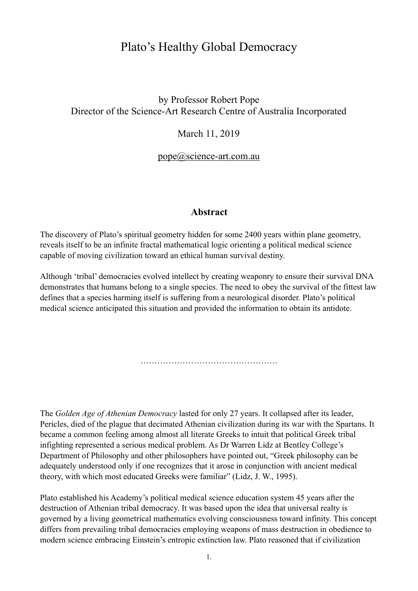# Plato's Healthy Global Democracy

## by Professor Robert Pope Director of the Science-Art Research Centre of Australia Incorporated

## March 11, 2019

#### [pope@science-art.com.au](mailto:pope@science-art.com.au)

#### **Abstract**

The discovery of Plato's spiritual geometry hidden for some 2400 years within plane geometry, reveals itself to be an infinite fractal mathematical logic orienting a political medical science capable of moving civilization toward an ethical human survival destiny.

Although 'tribal' democracies evolved intellect by creating weaponry to ensure their survival DNA demonstrates that humans belong to a single species. The need to obey the survival of the fittest law defines that a species harming itself is suffering from a neurological disorder. Plato's political medical science anticipated this situation and provided the information to obtain its antidote.

…………………………………………………………

The *Golden Age of Athenian Democracy* lasted for only 27 years. It collapsed after its leader, Pericles, died of the plague that decimated Athenian civilization during its war with the Spartans. It became a common feeling among almost all literate Greeks to intuit that political Greek tribal infighting represented a serious medical problem. As Dr Warren Lidz at Bentley College's Department of Philosophy and other philosophers have pointed out, "Greek philosophy can be adequately understood only if one recognizes that it arose in conjunction with ancient medical theory, with which most educated Greeks were familiar" (Lidz, J. W., 1995).

Plato established his Academy's political medical science education system 45 years after the destruction of Athenian tribal democracy. It was based upon the idea that universal realty is governed by a living geometrical mathematics evolving consciousness toward infinity. This concept differs from prevailing tribal democracies employing weapons of mass destruction in obedience to modern science embracing Einstein's entropic extinction law. Plato reasoned that if civilization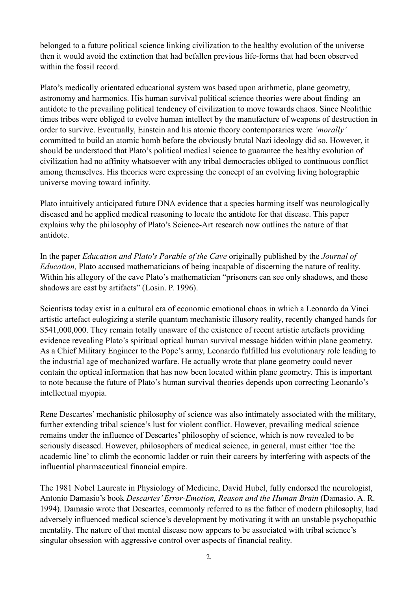belonged to a future political science linking civilization to the healthy evolution of the universe then it would avoid the extinction that had befallen previous life-forms that had been observed within the fossil record.

Plato's medically orientated educational system was based upon arithmetic, plane geometry, astronomy and harmonics. His human survival political science theories were about finding an antidote to the prevailing political tendency of civilization to move towards chaos. Since Neolithic times tribes were obliged to evolve human intellect by the manufacture of weapons of destruction in order to survive. Eventually, Einstein and his atomic theory contemporaries were *'morally'*  committed to build an atomic bomb before the obviously brutal Nazi ideology did so. However, it should be understood that Plato's political medical science to guarantee the healthy evolution of civilization had no affinity whatsoever with any tribal democracies obliged to continuous conflict among themselves. His theories were expressing the concept of an evolving living holographic universe moving toward infinity.

Plato intuitively anticipated future DNA evidence that a species harming itself was neurologically diseased and he applied medical reasoning to locate the antidote for that disease. This paper explains why the philosophy of Plato's Science-Art research now outlines the nature of that antidote.

In the paper *Education and Plato's Parable of the Cave* originally published by the *Journal of Education,* Plato accused mathematicians of being incapable of discerning the nature of reality. Within his allegory of the cave Plato's mathematician "prisoners can see only shadows, and these shadows are cast by artifacts" (Losin. P. 1996).

Scientists today exist in a cultural era of economic emotional chaos in which a Leonardo da Vinci artistic artefact eulogizing a sterile quantum mechanistic illusory reality, recently changed hands for \$541,000,000. They remain totally unaware of the existence of recent artistic artefacts providing evidence revealing Plato's spiritual optical human survival message hidden within plane geometry. As a Chief Military Engineer to the Pope's army, Leonardo fulfilled his evolutionary role leading to the industrial age of mechanized warfare. He actually wrote that plane geometry could never contain the optical information that has now been located within plane geometry. This is important to note because the future of Plato's human survival theories depends upon correcting Leonardo's intellectual myopia.

Rene Descartes' mechanistic philosophy of science was also intimately associated with the military, further extending tribal science's lust for violent conflict. However, prevailing medical science remains under the influence of Descartes' philosophy of science, which is now revealed to be seriously diseased. However, philosophers of medical science, in general, must either 'toe the academic line' to climb the economic ladder or ruin their careers by interfering with aspects of the influential pharmaceutical financial empire.

The 1981 Nobel Laureate in Physiology of Medicine, David Hubel, fully endorsed the neurologist, Antonio Damasio's book *Descartes' Error-Emotion, Reason and the Human Brain* (Damasio. A. R. 1994). Damasio wrote that Descartes, commonly referred to as the father of modern philosophy, had adversely influenced medical science's development by motivating it with an unstable psychopathic mentality. The nature of that mental disease now appears to be associated with tribal science's singular obsession with aggressive control over aspects of financial reality.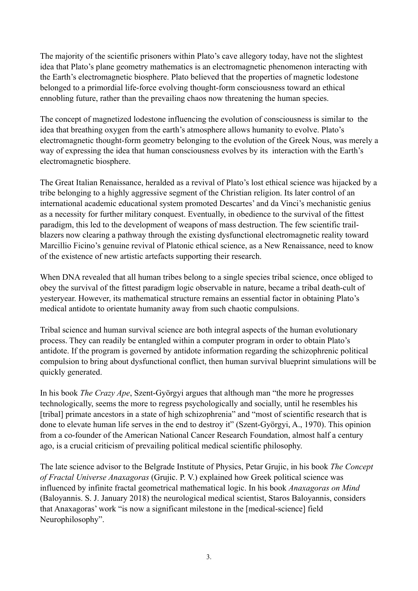The majority of the scientific prisoners within Plato's cave allegory today, have not the slightest idea that Plato's plane geometry mathematics is an electromagnetic phenomenon interacting with the Earth's electromagnetic biosphere. Plato believed that the properties of magnetic lodestone belonged to a primordial life-force evolving thought-form consciousness toward an ethical ennobling future, rather than the prevailing chaos now threatening the human species.

The concept of magnetized lodestone influencing the evolution of consciousness is similar to the idea that breathing oxygen from the earth's atmosphere allows humanity to evolve. Plato's electromagnetic thought-form geometry belonging to the evolution of the Greek Nous, was merely a way of expressing the idea that human consciousness evolves by its interaction with the Earth's electromagnetic biosphere.

The Great Italian Renaissance, heralded as a revival of Plato's lost ethical science was hijacked by a tribe belonging to a highly aggressive segment of the Christian religion. Its later control of an international academic educational system promoted Descartes' and da Vinci's mechanistic genius as a necessity for further military conquest. Eventually, in obedience to the survival of the fittest paradigm, this led to the development of weapons of mass destruction. The few scientific trailblazers now clearing a pathway through the existing dysfunctional electromagnetic reality toward Marcillio Ficino's genuine revival of Platonic ethical science, as a New Renaissance, need to know of the existence of new artistic artefacts supporting their research.

When DNA revealed that all human tribes belong to a single species tribal science, once obliged to obey the survival of the fittest paradigm logic observable in nature, became a tribal death-cult of yesteryear. However, its mathematical structure remains an essential factor in obtaining Plato's medical antidote to orientate humanity away from such chaotic compulsions.

Tribal science and human survival science are both integral aspects of the human evolutionary process. They can readily be entangled within a computer program in order to obtain Plato's antidote. If the program is governed by antidote information regarding the schizophrenic political compulsion to bring about dysfunctional conflict, then human survival blueprint simulations will be quickly generated.

In his book *The Crazy Ape*, Szent-Györgyi argues that although man "the more he progresses technologically, seems the more to regress psychologically and socially, until he resembles his [tribal] primate ancestors in a state of high schizophrenia" and "most of scientific research that is done to elevate human life serves in the end to destroy it" (Szent-Györgyi, A., 1970). This opinion from a co-founder of the American National Cancer Research Foundation, almost half a century ago, is a crucial criticism of prevailing political medical scientific philosophy.

The late science advisor to the Belgrade Institute of Physics, Petar Grujic, in his book *The Concept of Fractal Universe Anaxagoras* (Grujic. P. V.) explained how Greek political science was influenced by infinite fractal geometrical mathematical logic. In his book *Anaxagoras on Mind* (Baloyannis. S. J. January 2018) the neurological medical scientist, Staros Baloyannis, considers that Anaxagoras' work "is now a significant milestone in the [medical-science] field Neurophilosophy".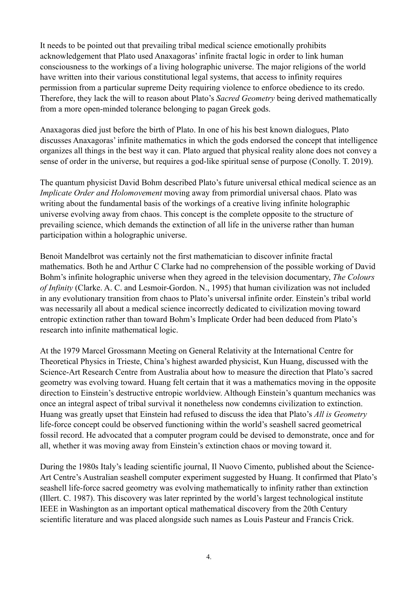It needs to be pointed out that prevailing tribal medical science emotionally prohibits acknowledgement that Plato used Anaxagoras' infinite fractal logic in order to link human consciousness to the workings of a living holographic universe. The major religions of the world have written into their various constitutional legal systems, that access to infinity requires permission from a particular supreme Deity requiring violence to enforce obedience to its credo. Therefore, they lack the will to reason about Plato's *Sacred Geometry* being derived mathematically from a more open-minded tolerance belonging to pagan Greek gods.

Anaxagoras died just before the birth of Plato. In one of his his best known dialogues, Plato discusses Anaxagoras' infinite mathematics in which the gods endorsed the concept that intelligence organizes all things in the best way it can. Plato argued that physical reality alone does not convey a sense of order in the universe, but requires a god-like spiritual sense of purpose (Conolly. T. 2019).

The quantum physicist David Bohm described Plato's future universal ethical medical science as an *Implicate Order and Holomovement* moving away from primordial universal chaos. Plato was writing about the fundamental basis of the workings of a creative living infinite holographic universe evolving away from chaos. This concept is the complete opposite to the structure of prevailing science, which demands the extinction of all life in the universe rather than human participation within a holographic universe.

Benoit Mandelbrot was certainly not the first mathematician to discover infinite fractal mathematics. Both he and Arthur C Clarke had no comprehension of the possible working of David Bohm's infinite holographic universe when they agreed in the television documentary, *The Colours of Infinity* (Clarke. A. C. and Lesmoir-Gordon. N., 1995) that human civilization was not included in any evolutionary transition from chaos to Plato's universal infinite order. Einstein's tribal world was necessarily all about a medical science incorrectly dedicated to civilization moving toward entropic extinction rather than toward Bohm's Implicate Order had been deduced from Plato's research into infinite mathematical logic.

At the 1979 Marcel Grossmann Meeting on General Relativity at the International Centre for Theoretical Physics in Trieste, China's highest awarded physicist, Kun Huang, discussed with the Science-Art Research Centre from Australia about how to measure the direction that Plato's sacred geometry was evolving toward. Huang felt certain that it was a mathematics moving in the opposite direction to Einstein's destructive entropic worldview. Although Einstein's quantum mechanics was once an integral aspect of tribal survival it nonetheless now condemns civilization to extinction. Huang was greatly upset that Einstein had refused to discuss the idea that Plato's *All is Geometry*  life-force concept could be observed functioning within the world's seashell sacred geometrical fossil record. He advocated that a computer program could be devised to demonstrate, once and for all, whether it was moving away from Einstein's extinction chaos or moving toward it.

During the 1980s Italy's leading scientific journal, Il Nuovo Cimento, published about the Science-Art Centre's Australian seashell computer experiment suggested by Huang. It confirmed that Plato's seashell life-force sacred geometry was evolving mathematically to infinity rather than extinction (Illert. C. 1987). This discovery was later reprinted by the world's largest technological institute IEEE in Washington as an important optical mathematical discovery from the 20th Century scientific literature and was placed alongside such names as Louis Pasteur and Francis Crick.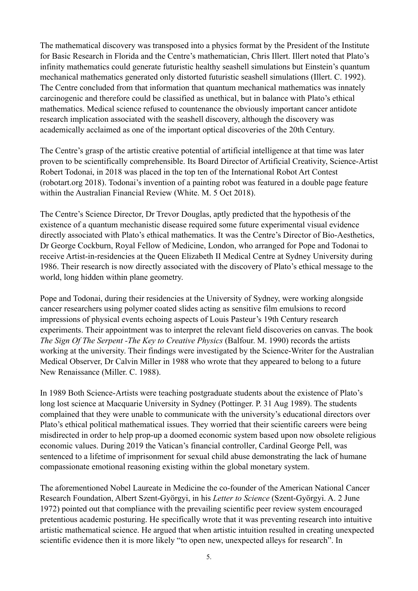The mathematical discovery was transposed into a physics format by the President of the Institute for Basic Research in Florida and the Centre's mathematician, Chris Illert. Illert noted that Plato's infinity mathematics could generate futuristic healthy seashell simulations but Einstein's quantum mechanical mathematics generated only distorted futuristic seashell simulations (Illert. C. 1992). The Centre concluded from that information that quantum mechanical mathematics was innately carcinogenic and therefore could be classified as unethical, but in balance with Plato's ethical mathematics. Medical science refused to countenance the obviously important cancer antidote research implication associated with the seashell discovery, although the discovery was academically acclaimed as one of the important optical discoveries of the 20th Century.

The Centre's grasp of the artistic creative potential of artificial intelligence at that time was later proven to be scientifically comprehensible. Its Board Director of Artificial Creativity, Science-Artist Robert Todonai, in 2018 was placed in the top ten of the International Robot Art Contest (robotart.org 2018). Todonai's invention of a painting robot was featured in a double page feature within the Australian Financial Review (White. M. 5 Oct 2018).

The Centre's Science Director, Dr Trevor Douglas, aptly predicted that the hypothesis of the existence of a quantum mechanistic disease required some future experimental visual evidence directly associated with Plato's ethical mathematics. It was the Centre's Director of Bio-Aesthetics, Dr George Cockburn, Royal Fellow of Medicine, London, who arranged for Pope and Todonai to receive Artist-in-residencies at the Queen Elizabeth II Medical Centre at Sydney University during 1986. Their research is now directly associated with the discovery of Plato's ethical message to the world, long hidden within plane geometry.

Pope and Todonai, during their residencies at the University of Sydney, were working alongside cancer researchers using polymer coated slides acting as sensitive film emulsions to record impressions of physical events echoing aspects of Louis Pasteur's 19th Century research experiments. Their appointment was to interpret the relevant field discoveries on canvas. The book *The Sign Of The Serpent -The Key to Creative Physics* (Balfour. M. 1990) records the artists working at the university. Their findings were investigated by the Science-Writer for the Australian Medical Observer, Dr Calvin Miller in 1988 who wrote that they appeared to belong to a future New Renaissance (Miller. C. 1988).

In 1989 Both Science-Artists were teaching postgraduate students about the existence of Plato's long lost science at Macquarie University in Sydney (Pottinger. P. 31 Aug 1989). The students complained that they were unable to communicate with the university's educational directors over Plato's ethical political mathematical issues. They worried that their scientific careers were being misdirected in order to help prop-up a doomed economic system based upon now obsolete religious economic values. During 2019 the Vatican's financial controller, Cardinal George Pell, was sentenced to a lifetime of imprisonment for sexual child abuse demonstrating the lack of humane compassionate emotional reasoning existing within the global monetary system.

The aforementioned Nobel Laureate in Medicine the co-founder of the American National Cancer Research Foundation, Albert Szent-Györgyi, in his *Letter to Science* (Szent-Györgyi. A. 2 June 1972) pointed out that compliance with the prevailing scientific peer review system encouraged pretentious academic posturing. He specifically wrote that it was preventing research into intuitive artistic mathematical science. He argued that when artistic intuition resulted in creating unexpected scientific evidence then it is more likely "to open new, unexpected alleys for research". In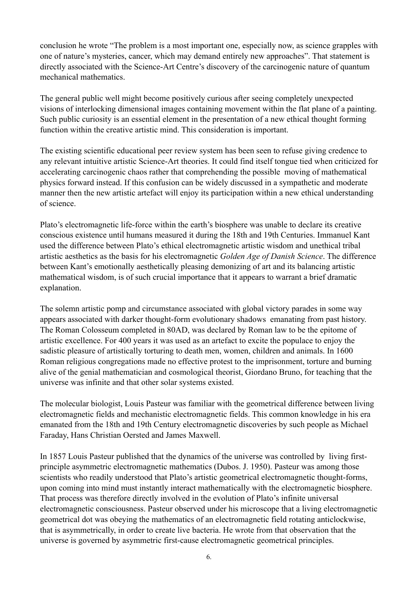conclusion he wrote "The problem is a most important one, especially now, as science grapples with one of nature's mysteries, cancer, which may demand entirely new approaches". That statement is directly associated with the Science-Art Centre's discovery of the carcinogenic nature of quantum mechanical mathematics.

The general public well might become positively curious after seeing completely unexpected visions of interlocking dimensional images containing movement within the flat plane of a painting. Such public curiosity is an essential element in the presentation of a new ethical thought forming function within the creative artistic mind. This consideration is important.

The existing scientific educational peer review system has been seen to refuse giving credence to any relevant intuitive artistic Science-Art theories. It could find itself tongue tied when criticized for accelerating carcinogenic chaos rather that comprehending the possible moving of mathematical physics forward instead. If this confusion can be widely discussed in a sympathetic and moderate manner then the new artistic artefact will enjoy its participation within a new ethical understanding of science.

Plato's electromagnetic life-force within the earth's biosphere was unable to declare its creative conscious existence until humans measured it during the 18th and 19th Centuries. Immanuel Kant used the difference between Plato's ethical electromagnetic artistic wisdom and unethical tribal artistic aesthetics as the basis for his electromagnetic *Golden Age of Danish Science*. The difference between Kant's emotionally aesthetically pleasing demonizing of art and its balancing artistic mathematical wisdom, is of such crucial importance that it appears to warrant a brief dramatic explanation.

The solemn artistic pomp and circumstance associated with global victory parades in some way appears associated with darker thought-form evolutionary shadows emanating from past history. The Roman Colosseum completed in 80AD, was declared by Roman law to be the epitome of artistic excellence. For 400 years it was used as an artefact to excite the populace to enjoy the sadistic pleasure of artistically torturing to death men, women, children and animals. In 1600 Roman religious congregations made no effective protest to the imprisonment, torture and burning alive of the genial mathematician and cosmological theorist, Giordano Bruno, for teaching that the universe was infinite and that other solar systems existed.

The molecular biologist, Louis Pasteur was familiar with the geometrical difference between living electromagnetic fields and mechanistic electromagnetic fields. This common knowledge in his era emanated from the 18th and 19th Century electromagnetic discoveries by such people as Michael Faraday, Hans Christian Oersted and James Maxwell.

In 1857 Louis Pasteur published that the dynamics of the universe was controlled by living firstprinciple asymmetric electromagnetic mathematics (Dubos. J. 1950). Pasteur was among those scientists who readily understood that Plato's artistic geometrical electromagnetic thought-forms, upon coming into mind must instantly interact mathematically with the electromagnetic biosphere. That process was therefore directly involved in the evolution of Plato's infinite universal electromagnetic consciousness. Pasteur observed under his microscope that a living electromagnetic geometrical dot was obeying the mathematics of an electromagnetic field rotating anticlockwise, that is asymmetrically, in order to create live bacteria. He wrote from that observation that the universe is governed by asymmetric first-cause electromagnetic geometrical principles.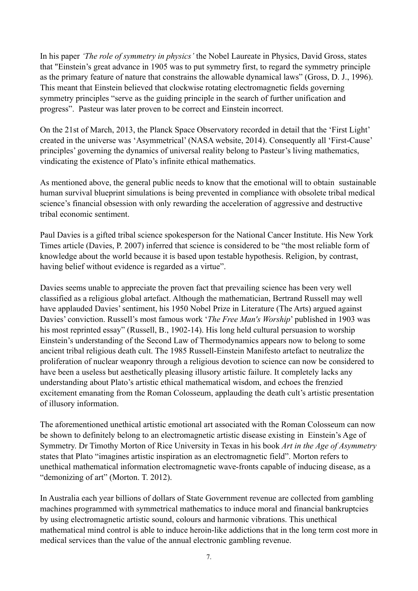In his paper *'The role of symmetry in physics'* the Nobel Laureate in Physics, David Gross, states that "Einstein's great advance in 1905 was to put symmetry first, to regard the symmetry principle as the primary feature of nature that constrains the allowable dynamical laws" (Gross, D. J., 1996). This meant that Einstein believed that clockwise rotating electromagnetic fields governing symmetry principles "serve as the guiding principle in the search of further unification and progress". Pasteur was later proven to be correct and Einstein incorrect.

On the 21st of March, 2013, the Planck Space Observatory recorded in detail that the 'First Light' created in the universe was 'Asymmetrical' (NASA website, 2014). Consequently all 'First-Cause' principles' governing the dynamics of universal reality belong to Pasteur's living mathematics, vindicating the existence of Plato's infinite ethical mathematics.

As mentioned above, the general public needs to know that the emotional will to obtain sustainable human survival blueprint simulations is being prevented in compliance with obsolete tribal medical science's financial obsession with only rewarding the acceleration of aggressive and destructive tribal economic sentiment.

Paul Davies is a gifted tribal science spokesperson for the National Cancer Institute. His New York Times article (Davies, P. 2007) inferred that science is considered to be "the most reliable form of knowledge about the world because it is based upon testable hypothesis. Religion, by contrast, having belief without evidence is regarded as a virtue".

Davies seems unable to appreciate the proven fact that prevailing science has been very well classified as a religious global artefact. Although the mathematician, Bertrand Russell may well have applauded Davies' sentiment, his 1950 Nobel Prize in Literature (The Arts) argued against Davies' conviction. Russell's most famous work '*The Free Man's Worship*' published in 1903 was his most reprinted essay" (Russell, B., 1902-14). His long held cultural persuasion to worship Einstein's understanding of the Second Law of Thermodynamics appears now to belong to some ancient tribal religious death cult. The 1985 Russell-Einstein Manifesto artefact to neutralize the proliferation of nuclear weaponry through a religious devotion to science can now be considered to have been a useless but aesthetically pleasing illusory artistic failure. It completely lacks any understanding about Plato's artistic ethical mathematical wisdom, and echoes the frenzied excitement emanating from the Roman Colosseum, applauding the death cult's artistic presentation of illusory information.

The aforementioned unethical artistic emotional art associated with the Roman Colosseum can now be shown to definitely belong to an electromagnetic artistic disease existing in Einstein's Age of Symmetry. Dr Timothy Morton of Rice University in Texas in his book *Art in the Age of Asymmetry* states that Plato "imagines artistic inspiration as an electromagnetic field". Morton refers to unethical mathematical information electromagnetic wave-fronts capable of inducing disease, as a "demonizing of art" (Morton. T. 2012).

In Australia each year billions of dollars of State Government revenue are collected from gambling machines programmed with symmetrical mathematics to induce moral and financial bankruptcies by using electromagnetic artistic sound, colours and harmonic vibrations. This unethical mathematical mind control is able to induce heroin-like addictions that in the long term cost more in medical services than the value of the annual electronic gambling revenue.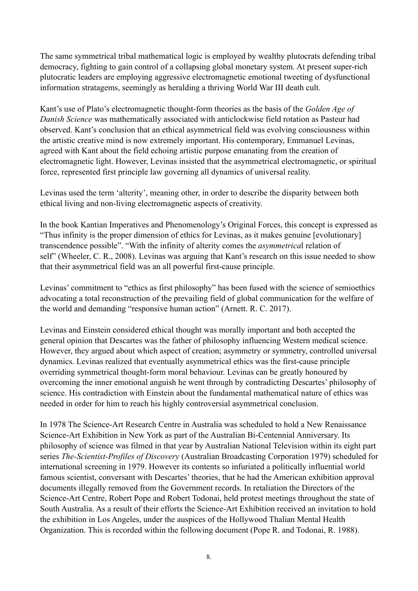The same symmetrical tribal mathematical logic is employed by wealthy plutocrats defending tribal democracy, fighting to gain control of a collapsing global monetary system. At present super-rich plutocratic leaders are employing aggressive electromagnetic emotional tweeting of dysfunctional information stratagems, seemingly as heralding a thriving World War III death cult.

Kant's use of Plato's electromagnetic thought-form theories as the basis of the *Golden Age of Danish Science* was mathematically associated with anticlockwise field rotation as Pasteur had observed. Kant's conclusion that an ethical asymmetrical field was evolving consciousness within the artistic creative mind is now extremely important. His contemporary, Emmanuel Levinas, agreed with Kant about the field echoing artistic purpose emanating from the creation of electromagnetic light. However, Levinas insisted that the asymmetrical electromagnetic, or spiritual force, represented first principle law governing all dynamics of universal reality.

Levinas used the term 'alterity', meaning other, in order to describe the disparity between both ethical living and non-living electromagnetic aspects of creativity.

In the book Kantian Imperatives and Phenomenology's Original Forces, this concept is expressed as "Thus infinity is the proper dimension of ethics for Levinas, as it makes genuine [evolutionary] transcendence possible". "With the infinity of alterity comes the *asymmetrica*l relation of self" (Wheeler, C. R., 2008). Levinas was arguing that Kant's research on this issue needed to show that their asymmetrical field was an all powerful first-cause principle.

Levinas' commitment to "ethics as first philosophy" has been fused with the science of semioethics advocating a total reconstruction of the prevailing field of global communication for the welfare of the world and demanding "responsive human action" (Arnett. R. C. 2017).

Levinas and Einstein considered ethical thought was morally important and both accepted the general opinion that Descartes was the father of philosophy influencing Western medical science. However, they argued about which aspect of creation; asymmetry or symmetry, controlled universal dynamics. Levinas realized that eventually asymmetrical ethics was the first-cause principle overriding symmetrical thought-form moral behaviour. Levinas can be greatly honoured by overcoming the inner emotional anguish he went through by contradicting Descartes' philosophy of science. His contradiction with Einstein about the fundamental mathematical nature of ethics was needed in order for him to reach his highly controversial asymmetrical conclusion.

In 1978 The Science-Art Research Centre in Australia was scheduled to hold a New Renaissance Science-Art Exhibition in New York as part of the Australian Bi-Centennial Anniversary. Its philosophy of science was filmed in that year by Australian National Television within its eight part series *The-Scientist-Profiles of Discovery* (Australian Broadcasting Corporation 1979) scheduled for international screening in 1979. However its contents so infuriated a politically influential world famous scientist, conversant with Descartes' theories, that he had the American exhibition approval documents illegally removed from the Government records. In retaliation the Directors of the Science-Art Centre, Robert Pope and Robert Todonai, held protest meetings throughout the state of South Australia. As a result of their efforts the Science-Art Exhibition received an invitation to hold the exhibition in Los Angeles, under the auspices of the Hollywood Thalian Mental Health Organization. This is recorded within the following document (Pope R. and Todonai, R. 1988).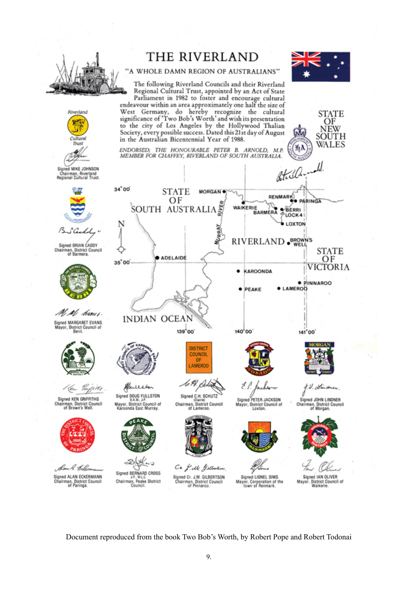

Document reproduced from the book Two Bob's Worth, by Robert Pope and Robert Todonai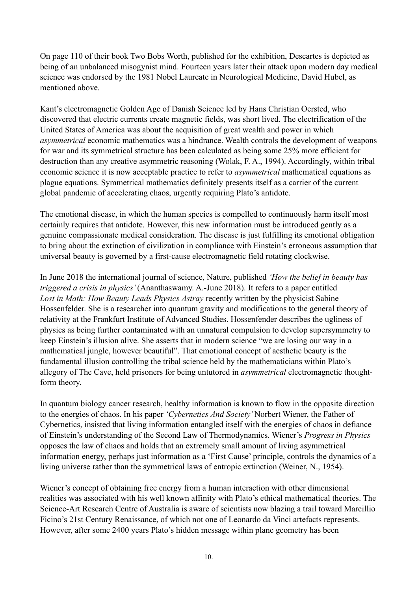On page 110 of their book Two Bobs Worth, published for the exhibition, Descartes is depicted as being of an unbalanced misogynist mind. Fourteen years later their attack upon modern day medical science was endorsed by the 1981 Nobel Laureate in Neurological Medicine, David Hubel, as mentioned above.

Kant's electromagnetic Golden Age of Danish Science led by Hans Christian Oersted, who discovered that electric currents create magnetic fields, was short lived. The electrification of the United States of America was about the acquisition of great wealth and power in which *asymmetrical* economic mathematics was a hindrance. Wealth controls the development of weapons for war and its symmetrical structure has been calculated as being some 25% more efficient for destruction than any creative asymmetric reasoning (Wolak, F. A., 1994). Accordingly, within tribal economic science it is now acceptable practice to refer to *asymmetrical* mathematical equations as plague equations. Symmetrical mathematics definitely presents itself as a carrier of the current global pandemic of accelerating chaos, urgently requiring Plato's antidote.

The emotional disease, in which the human species is compelled to continuously harm itself most certainly requires that antidote. However, this new information must be introduced gently as a genuine compassionate medical consideration. The disease is just fulfilling its emotional obligation to bring about the extinction of civilization in compliance with Einstein's erroneous assumption that universal beauty is governed by a first-cause electromagnetic field rotating clockwise.

In June 2018 the international journal of science, Nature, published *'How the belief in beauty has triggered a crisis in physics'* (Ananthaswamy. A.-June 2018). It refers to a paper entitled *Lost in Math: How Beauty Leads Physics Astray* recently written by the physicist Sabine Hossenfelder. She is a researcher into quantum gravity and modifications to the general theory of relativity at the Frankfurt Institute of Advanced Studies. Hossenfender describes the ugliness of physics as being further contaminated with an unnatural compulsion to develop supersymmetry to keep Einstein's illusion alive. She asserts that in modern science "we are losing our way in a mathematical jungle, however beautiful". That emotional concept of aesthetic beauty is the fundamental illusion controlling the tribal science held by the mathematicians within Plato's allegory of The Cave, held prisoners for being untutored in *asymmetrical* electromagnetic thoughtform theory.

In quantum biology cancer research, healthy information is known to flow in the opposite direction to the energies of chaos. In his paper *'Cybernetics And Society'* Norbert Wiener, the Father of Cybernetics, insisted that living information entangled itself with the energies of chaos in defiance of Einstein's understanding of the Second Law of Thermodynamics. Wiener's *Progress in Physics* opposes the law of chaos and holds that an extremely small amount of living asymmetrical information energy, perhaps just information as a 'First Cause' principle, controls the dynamics of a living universe rather than the symmetrical laws of entropic extinction (Weiner, N., 1954).

Wiener's concept of obtaining free energy from a human interaction with other dimensional realities was associated with his well known affinity with Plato's ethical mathematical theories. The Science-Art Research Centre of Australia is aware of scientists now blazing a trail toward Marcillio Ficino's 21st Century Renaissance, of which not one of Leonardo da Vinci artefacts represents. However, after some 2400 years Plato's hidden message within plane geometry has been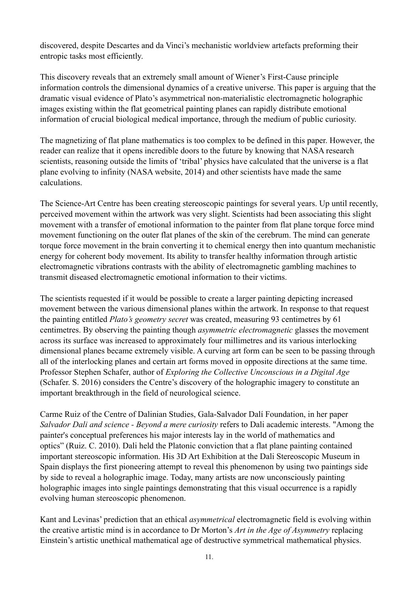discovered, despite Descartes and da Vinci's mechanistic worldview artefacts preforming their entropic tasks most efficiently.

This discovery reveals that an extremely small amount of Wiener's First-Cause principle information controls the dimensional dynamics of a creative universe. This paper is arguing that the dramatic visual evidence of Plato's asymmetrical non-materialistic electromagnetic holographic images existing within the flat geometrical painting planes can rapidly distribute emotional information of crucial biological medical importance, through the medium of public curiosity.

The magnetizing of flat plane mathematics is too complex to be defined in this paper. However, the reader can realize that it opens incredible doors to the future by knowing that NASA research scientists, reasoning outside the limits of 'tribal' physics have calculated that the universe is a flat plane evolving to infinity (NASA website, 2014) and other scientists have made the same calculations.

The Science-Art Centre has been creating stereoscopic paintings for several years. Up until recently, perceived movement within the artwork was very slight. Scientists had been associating this slight movement with a transfer of emotional information to the painter from flat plane torque force mind movement functioning on the outer flat planes of the skin of the cerebrum. The mind can generate torque force movement in the brain converting it to chemical energy then into quantum mechanistic energy for coherent body movement. Its ability to transfer healthy information through artistic electromagnetic vibrations contrasts with the ability of electromagnetic gambling machines to transmit diseased electromagnetic emotional information to their victims.

The scientists requested if it would be possible to create a larger painting depicting increased movement between the various dimensional planes within the artwork. In response to that request the painting entitled *Plato's geometry secret* was created, measuring 93 centimetres by 61 centimetres. By observing the painting though *asymmetric electromagnetic* glasses the movement across its surface was increased to approximately four millimetres and its various interlocking dimensional planes became extremely visible. A curving art form can be seen to be passing through all of the interlocking planes and certain art forms moved in opposite directions at the same time. Professor Stephen Schafer, author of *Exploring the Collective Unconscious in a Digital Age*  (Schafer. S. 2016) considers the Centre's discovery of the holographic imagery to constitute an important breakthrough in the field of neurological science.

Carme Ruiz of the Centre of Dalinian Studies, Gala-Salvador Dalí Foundation, in her paper *Salvador Dali and science - Beyond a mere curiosity* refers to Dali academic interests. "Among the painter's conceptual preferences his major interests lay in the world of mathematics and optics" (Ruiz. C. 2010). Dali held the Platonic conviction that a flat plane painting contained important stereoscopic information. His 3D Art Exhibition at the Dali Stereoscopic Museum in Spain displays the first pioneering attempt to reveal this phenomenon by using two paintings side by side to reveal a holographic image. Today, many artists are now unconsciously painting holographic images into single paintings demonstrating that this visual occurrence is a rapidly evolving human stereoscopic phenomenon.

Kant and Levinas' prediction that an ethical *asymmetrical* electromagnetic field is evolving within the creative artistic mind is in accordance to Dr Morton's *Art in the Age of Asymmetry* replacing Einstein's artistic unethical mathematical age of destructive symmetrical mathematical physics.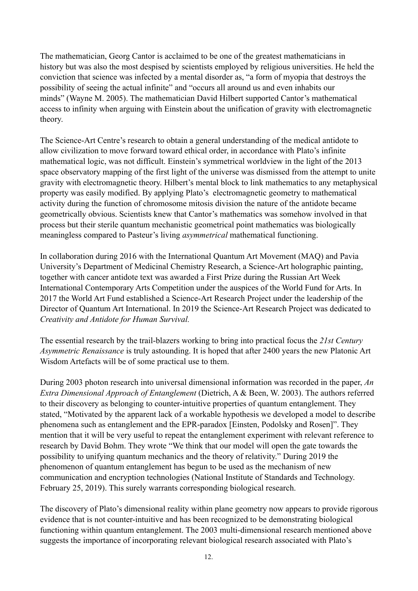The mathematician, Georg Cantor is acclaimed to be one of the greatest mathematicians in history but was also the most despised by scientists employed by religious universities. He held the conviction that science was infected by a mental disorder as, "a form of myopia that destroys the possibility of seeing the actual infinite" and "occurs all around us and even inhabits our minds" (Wayne M. 2005). The mathematician David Hilbert supported Cantor's mathematical access to infinity when arguing with Einstein about the unification of gravity with electromagnetic theory.

The Science-Art Centre's research to obtain a general understanding of the medical antidote to allow civilization to move forward toward ethical order, in accordance with Plato's infinite mathematical logic, was not difficult. Einstein's symmetrical worldview in the light of the 2013 space observatory mapping of the first light of the universe was dismissed from the attempt to unite gravity with electromagnetic theory. Hilbert's mental block to link mathematics to any metaphysical property was easily modified. By applying Plato's electromagnetic geometry to mathematical activity during the function of chromosome mitosis division the nature of the antidote became geometrically obvious. Scientists knew that Cantor's mathematics was somehow involved in that process but their sterile quantum mechanistic geometrical point mathematics was biologically meaningless compared to Pasteur's living *asymmetrical* mathematical functioning.

In collaboration during 2016 with the International Quantum Art Movement (MAQ) and Pavia University's Department of Medicinal Chemistry Research, a Science-Art holographic painting, together with cancer antidote text was awarded a First Prize during the Russian Art Week International Contemporary Arts Competition under the auspices of the World Fund for Arts. In 2017 the World Art Fund established a Science-Art Research Project under the leadership of the Director of Quantum Art International. In 2019 the Science-Art Research Project was dedicated to *Creativity and Antidote for Human Survival.*

The essential research by the trail-blazers working to bring into practical focus the *21st Century Asymmetric Renaissance* is truly astounding. It is hoped that after 2400 years the new Platonic Art Wisdom Artefacts will be of some practical use to them.

During 2003 photon research into universal dimensional information was recorded in the paper, *An Extra Dimensional Approach of Entanglement* (Dietrich, A & Been, W. 2003). The authors referred to their discovery as belonging to counter-intuitive properties of quantum entanglement. They stated, "Motivated by the apparent lack of a workable hypothesis we developed a model to describe phenomena such as entanglement and the EPR-paradox [Einsten, Podolsky and Rosen]". They mention that it will be very useful to repeat the entanglement experiment with relevant reference to research by David Bohm. They wrote "We think that our model will open the gate towards the possibility to unifying quantum mechanics and the theory of relativity." During 2019 the phenomenon of quantum entanglement has begun to be used as the mechanism of new communication and encryption technologies (National Institute of Standards and Technology. February 25, 2019). This surely warrants corresponding biological research.

The discovery of Plato's dimensional reality within plane geometry now appears to provide rigorous evidence that is not counter-intuitive and has been recognized to be demonstrating biological functioning within quantum entanglement. The 2003 multi-dimensional research mentioned above suggests the importance of incorporating relevant biological research associated with Plato's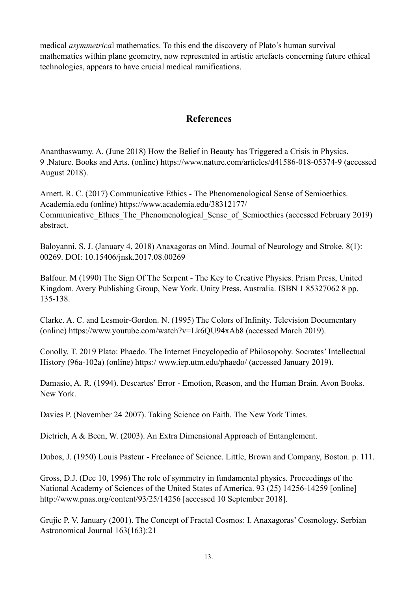medical *asymmetrica*l mathematics. To this end the discovery of Plato's human survival mathematics within plane geometry, now represented in artistic artefacts concerning future ethical technologies, appears to have crucial medical ramifications.

### **References**

Ananthaswamy. A. (June 2018) How the Belief in Beauty has Triggered a Crisis in Physics. 9 .Nature. Books and Arts. (online) https://www.nature.com/articles/d41586-018-05374-9 (accessed August 2018).

Arnett. R. C. (2017) Communicative Ethics - The Phenomenological Sense of Semioethics. Academia.edu (online) https://www.academia.edu/38312177/ Communicative Ethics The Phenomenological Sense of Semioethics (accessed February 2019) abstract.

Baloyanni. S. J. (January 4, 2018) Anaxagoras on Mind. Journal of Neurology and Stroke. 8(1): 00269. DOI: 10.15406/jnsk.2017.08.00269

Balfour. M (1990) The Sign Of The Serpent - The Key to Creative Physics. Prism Press, United Kingdom. Avery Publishing Group, New York. Unity Press, Australia. ISBN 1 85327062 8 pp. 135-138.

Clarke. A. C. and Lesmoir-Gordon. N. (1995) The Colors of Infinity. Television Documentary (online) https://www.youtube.com/watch?v=Lk6QU94xAb8 (accessed March 2019).

Conolly. T. 2019 Plato: Phaedo. The Internet Encyclopedia of Philosopohy. Socrates' Intellectual History (96a-102a) (online) https:/ www.iep.utm.edu/phaedo/ (accessed January 2019).

Damasio, A. R. (1994). Descartes' Error - Emotion, Reason, and the Human Brain. Avon Books. New York.

Davies P. (November 24 2007). Taking Science on Faith. The New York Times.

Dietrich, A & Been, W. (2003). An Extra Dimensional Approach of Entanglement.

Dubos, J. (1950) Louis Pasteur - Freelance of Science. Little, Brown and Company, Boston. p. 111.

Gross, D.J. (Dec 10, 1996) The role of symmetry in fundamental physics. Proceedings of the National Academy of Sciences of the United States of America. 93 (25) 14256-14259 [online] http://www.pnas.org/content/93/25/14256 [accessed 10 September 2018].

Grujic P. V. January (2001). The Concept of Fractal Cosmos: I. Anaxagoras' Cosmology. Serbian Astronomical Journal 163(163):21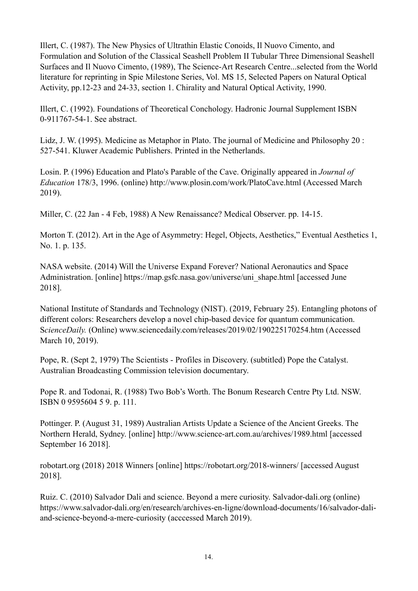Illert, C. (1987). The New Physics of Ultrathin Elastic Conoids, Il Nuovo Cimento, and Formulation and Solution of the Classical Seashell Problem II Tubular Three Dimensional Seashell Surfaces and Il Nuovo Cimento, (1989), The Science-Art Research Centre...selected from the World literature for reprinting in Spie Milestone Series, Vol. MS 15, Selected Papers on Natural Optical Activity, pp.12-23 and 24-33, section 1. Chirality and Natural Optical Activity, 1990.

Illert, C. (1992). Foundations of Theoretical Conchology. Hadronic Journal Supplement ISBN 0-911767-54-1. See abstract.

Lidz, J. W. (1995). Medicine as Metaphor in Plato. The journal of Medicine and Philosophy 20 : 527-541. Kluwer Academic Publishers. Printed in the Netherlands.

Losin. P. (1996) Education and Plato's Parable of the Cave. Originally appeared in *Journal of Education* 178/3, 1996. (online) http://www.plosin.com/work/PlatoCave.html (Accessed March 2019).

Miller, C. (22 Jan - 4 Feb, 1988) A New Renaissance? Medical Observer. pp. 14-15.

Morton T. (2012). Art in the Age of Asymmetry: Hegel, Objects, Aesthetics," Eventual Aesthetics 1, No. 1. p. 135.

NASA website. (2014) Will the Universe Expand Forever? National Aeronautics and Space Administration. [online] https://map.gsfc.nasa.gov/universe/uni\_shape.html [accessed June 2018].

National Institute of Standards and Technology (NIST). (2019, February 25). Entangling photons of different colors: Researchers develop a novel chip-based device for quantum communication. S*cienceDaily.* (Online) www.sciencedaily.com/releases/2019/02/190225170254.htm (Accessed March 10, 2019).

Pope, R. (Sept 2, 1979) The Scientists - Profiles in Discovery. (subtitled) Pope the Catalyst. Australian Broadcasting Commission television documentary.

Pope R. and Todonai, R. (1988) Two Bob's Worth. The Bonum Research Centre Pty Ltd. NSW. ISBN 0 9595604 5 9. p. 111.

Pottinger. P. (August 31, 1989) Australian Artists Update a Science of the Ancient Greeks. The Northern Herald, Sydney. [online] http://www.science-art.com.au/archives/1989.html [accessed September 16 2018].

robotart.org (2018) 2018 Winners [online] https://robotart.org/2018-winners/ [accessed August 2018].

Ruiz. C. (2010) Salvador Dali and science. Beyond a mere curiosity. Salvador-dali.org (online) https://www.salvador-dali.org/en/research/archives-en-ligne/download-documents/16/salvador-daliand-science-beyond-a-mere-curiosity (acccessed March 2019).